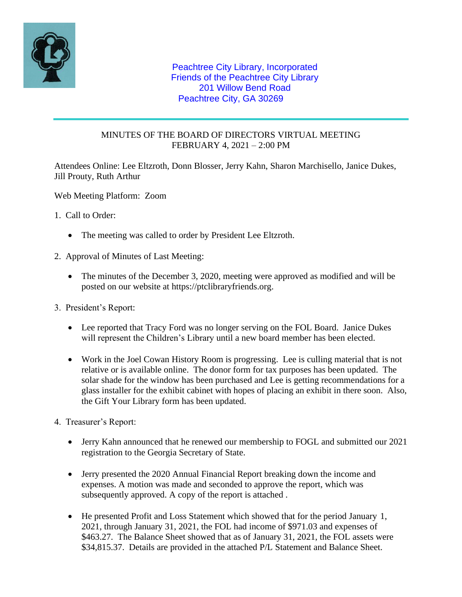

## Peachtree City Library, Incorporated Friends of the Peachtree City Library 201 Willow Bend Road Peachtree City, GA 30269

## MINUTES OF THE BOARD OF DIRECTORS VIRTUAL MEETING FEBRUARY 4, 2021 – 2:00 PM

Attendees Online: Lee Eltzroth, Donn Blosser, Jerry Kahn, Sharon Marchisello, Janice Dukes, Jill Prouty, Ruth Arthur

Web Meeting Platform: Zoom

- 1. Call to Order:
	- The meeting was called to order by President Lee Eltzroth.
- 2. Approval of Minutes of Last Meeting:
	- The minutes of the December 3, 2020, meeting were approved as modified and will be posted on our website at https://ptclibraryfriends.org.
- 3. President's Report:
	- Lee reported that Tracy Ford was no longer serving on the FOL Board. Janice Dukes will represent the Children's Library until a new board member has been elected.
	- Work in the Joel Cowan History Room is progressing. Lee is culling material that is not relative or is available online. The donor form for tax purposes has been updated. The solar shade for the window has been purchased and Lee is getting recommendations for a glass installer for the exhibit cabinet with hopes of placing an exhibit in there soon. Also, the Gift Your Library form has been updated.
- 4. Treasurer's Report:
	- Jerry Kahn announced that he renewed our membership to FOGL and submitted our 2021 registration to the Georgia Secretary of State.
	- Jerry presented the 2020 Annual Financial Report breaking down the income and expenses. A motion was made and seconded to approve the report, which was subsequently approved. A copy of the report is attached .
	- He presented Profit and Loss Statement which showed that for the period January 1, 2021, through January 31, 2021, the FOL had income of \$971.03 and expenses of \$463.27. The Balance Sheet showed that as of January 31, 2021, the FOL assets were \$34,815.37. Details are provided in the attached P/L Statement and Balance Sheet.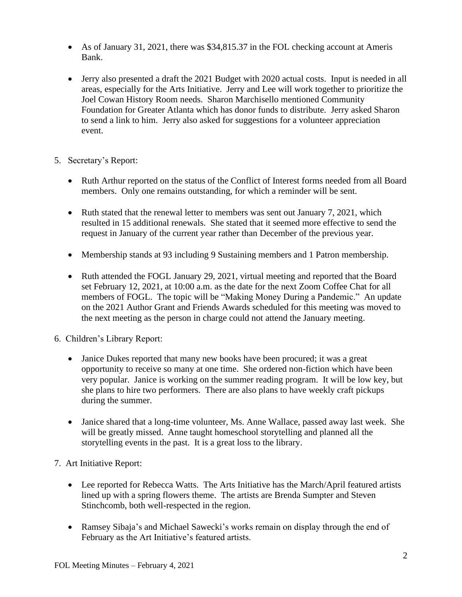- As of January 31, 2021, there was \$34,815.37 in the FOL checking account at Ameris Bank.
- Jerry also presented a draft the 2021 Budget with 2020 actual costs. Input is needed in all areas, especially for the Arts Initiative. Jerry and Lee will work together to prioritize the Joel Cowan History Room needs. Sharon Marchisello mentioned Community Foundation for Greater Atlanta which has donor funds to distribute. Jerry asked Sharon to send a link to him. Jerry also asked for suggestions for a volunteer appreciation event.
- 5. Secretary's Report:
	- Ruth Arthur reported on the status of the Conflict of Interest forms needed from all Board members. Only one remains outstanding, for which a reminder will be sent.
	- Ruth stated that the renewal letter to members was sent out January 7, 2021, which resulted in 15 additional renewals. She stated that it seemed more effective to send the request in January of the current year rather than December of the previous year.
	- Membership stands at 93 including 9 Sustaining members and 1 Patron membership.
	- Ruth attended the FOGL January 29, 2021, virtual meeting and reported that the Board set February 12, 2021, at 10:00 a.m. as the date for the next Zoom Coffee Chat for all members of FOGL. The topic will be "Making Money During a Pandemic." An update on the 2021 Author Grant and Friends Awards scheduled for this meeting was moved to the next meeting as the person in charge could not attend the January meeting.
- 6. Children's Library Report:
	- Janice Dukes reported that many new books have been procured; it was a great opportunity to receive so many at one time. She ordered non-fiction which have been very popular. Janice is working on the summer reading program. It will be low key, but she plans to hire two performers. There are also plans to have weekly craft pickups during the summer.
	- Janice shared that a long-time volunteer, Ms. Anne Wallace, passed away last week. She will be greatly missed. Anne taught homeschool storytelling and planned all the storytelling events in the past. It is a great loss to the library.
- 7. Art Initiative Report:
	- Lee reported for Rebecca Watts. The Arts Initiative has the March/April featured artists lined up with a spring flowers theme. The artists are Brenda Sumpter and Steven Stinchcomb, both well-respected in the region.
	- Ramsey Sibaja's and Michael Sawecki's works remain on display through the end of February as the Art Initiative's featured artists.